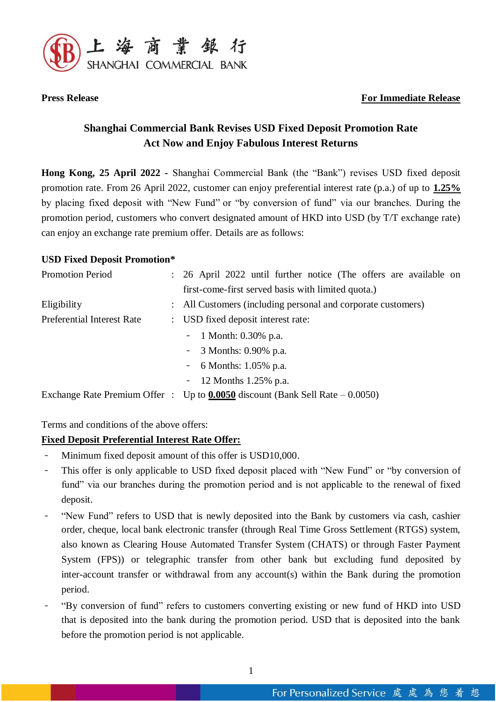

# **Press Release For Immediate Release**

# **Shanghai Commercial Bank Revises USD Fixed Deposit Promotion Rate Act Now and Enjoy Fabulous Interest Returns**

**Hong Kong, 25 April 2022 -** Shanghai Commercial Bank (the "Bank") revises USD fixed deposit promotion rate. From 26 April 2022, customer can enjoy preferential interest rate (p.a.) of up to **1.25%** by placing fixed deposit with "New Fund" or "by conversion of fund" via our branches. During the promotion period, customers who convert designated amount of HKD into USD (by T/T exchange rate) can enjoy an exchange rate premium offer. Details are as follows:

#### **USD Fixed Deposit Promotion\***

| <b>Promotion Period</b>    | : 26 April 2022 until further notice (The offers are available on                 |
|----------------------------|-----------------------------------------------------------------------------------|
|                            | first-come-first served basis with limited quota.)                                |
| Eligibility                | : All Customers (including personal and corporate customers)                      |
| Preferential Interest Rate | : USD fixed deposit interest rate:                                                |
|                            | - 1 Month: $0.30\%$ p.a.                                                          |
|                            | - $\sqrt{3}$ Months: 0.90% p.a.                                                   |
|                            | - 6 Months: $1.05\%$ p.a.                                                         |
|                            | - 12 Months 1.25% p.a.                                                            |
|                            | Exchange Rate Premium Offer : Up to $0.0050$ discount (Bank Sell Rate $-0.0050$ ) |

Terms and conditions of the above offers:

# **Fixed Deposit Preferential Interest Rate Offer:**

- Minimum fixed deposit amount of this offer is USD10,000.
- This offer is only applicable to USD fixed deposit placed with "New Fund" or "by conversion of fund" via our branches during the promotion period and is not applicable to the renewal of fixed deposit.
- "New Fund" refers to USD that is newly deposited into the Bank by customers via cash, cashier order, cheque, local bank electronic transfer (through Real Time Gross Settlement (RTGS) system, also known as Clearing House Automated Transfer System (CHATS) or through Faster Payment System (FPS)) or telegraphic transfer from other bank but excluding fund deposited by inter-account transfer or withdrawal from any account(s) within the Bank during the promotion period.
- "By conversion of fund" refers to customers converting existing or new fund of HKD into USD that is deposited into the bank during the promotion period. USD that is deposited into the bank before the promotion period is not applicable.